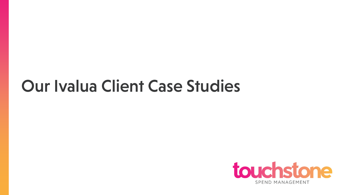## Our Ivalua Client Case Studies

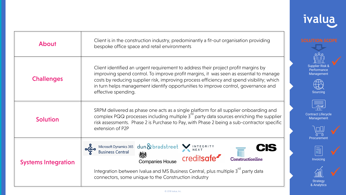| <b>About</b>               | Client is in the construction industry, predominantly a fit-out organisation providing<br>bespoke office space and retail environments                                                                                                                                                                                                                                                 |                                                                                                                                                                                                                                                                                                                                                                                                                                                                  |
|----------------------------|----------------------------------------------------------------------------------------------------------------------------------------------------------------------------------------------------------------------------------------------------------------------------------------------------------------------------------------------------------------------------------------|------------------------------------------------------------------------------------------------------------------------------------------------------------------------------------------------------------------------------------------------------------------------------------------------------------------------------------------------------------------------------------------------------------------------------------------------------------------|
| <b>Challenges</b>          | Client identified an urgent requirement to address their project profit margins by<br>improving spend control. To improve profit margins, it was seen as essential to manage<br>costs by reducing supplier risk, improving process efficiency and spend visibility; which<br>in turn helps management identify opportunities to improve control, governance and<br>effective spending. | <b>Supplier Risk &amp;</b><br>Performance<br>Management<br>Sourcing                                                                                                                                                                                                                                                                                                                                                                                              |
| <b>Solution</b>            | SRPM delivered as phase one acts as a single platform for all supplier onboarding and complex PQQ processes including multiple $3rd$ party data sources enriching the supplier<br>risk assessments. Phase 2 is Purchase to Pay, with Phase 2 being a sub-contractor specific<br>extension of P2P                                                                                       | $\frac{1}{\sqrt{1-\frac{1}{1-\frac{1}{1-\frac{1}{1-\frac{1}{1-\frac{1}{1-\frac{1}{1-\frac{1}{1-\frac{1}{1-\frac{1}{1-\frac{1}{1-\frac{1}{1-\frac{1}{1-\frac{1}{1-\frac{1}{1-\frac{1}{1-\frac{1}{1-\frac{1}{1-\frac{1}{1-\frac{1}{1-\frac{1}{1-\frac{1}{1-\frac{1}{1-\frac{1}{1-\frac{1}{1-\frac{1}{1-\frac{1}{1-\frac{1}{1-\frac{1}{1-\frac{1}{1-\frac{1}{1-\frac{1}{1-\frac{1}{1-\frac{1}{1-\frac{1}{1-\frac{1}{1-\$<br><b>Contract Lifecycle</b><br>Management |
| <b>Systems Integration</b> | Microsoft Dynamics 365 dun & bradstreet MINTEGRITY<br>CIS<br>creditsafe <sup>-</sup><br><b>Constructionline</b><br><b>Companies House</b><br>Integration between Ivalua and MS Business Central, plus multiple 3 <sup>rd</sup> party data<br>connectors, some unique to the Construction industry                                                                                      | Procurement<br>$\sqrt{\frac{1}{\sinhh^2}}$<br>Invoicing<br>Strategy<br>& Analytics                                                                                                                                                                                                                                                                                                                                                                               |

ivalua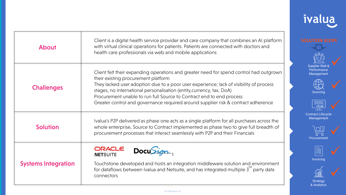| <b>About</b>               | Client is a digital health service provider and care company that combines an AI platform<br>with virtual clinical operations for patients. Patients are connected with doctors and<br>health care professionals via web and mobile applications                                                                                                                                                                                                              |                                                                                                    |
|----------------------------|---------------------------------------------------------------------------------------------------------------------------------------------------------------------------------------------------------------------------------------------------------------------------------------------------------------------------------------------------------------------------------------------------------------------------------------------------------------|----------------------------------------------------------------------------------------------------|
| <b>Challenges</b>          | Client felt their expanding operations and greater need for spend control had outgrown<br>their existing procurement platform<br>They lacked user adoption due to a poor user experience; lack of visibility of process<br>stages, no international personalisation (entity, currency, tax, DoA)<br>Procurement unable to run full Source to Contract end to end process<br>Greater control and governance required around supplier risk & contract adherence | <b>Supplier Risk &amp;</b><br>Performance<br>Management<br>Sourcing<br>«Array                      |
| <b>Solution</b>            | Ivalua's P2P delivered as phase one acts as a single platform for all purchases across the<br>whole enterprise, Source to Contract implemented as phase two to give full breadth of<br>procurement processes that interact seamlessly with P2P and their Financials                                                                                                                                                                                           | <b>Contract Lifecycle</b><br>Management<br>Procurement                                             |
| <b>Systems Integration</b> | <b>ORACLE</b><br>Docusign<br><b>NETSUITE</b><br>Touchstone developed and hosts an integration middleware solution and environment<br>for dataflows between Ivalua and Netsuite, and has integrated multiple 3 <sup>rd</sup> party data<br>connectors                                                                                                                                                                                                          | $\begin{array}{ c } \hline \text{cell} \end{array}$<br>Invoicing<br><b>Strategy</b><br>& Analytics |

ivalua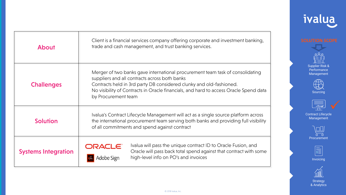| <b>About</b>               | Client is a financial services company offering corporate and investment banking,<br>trade and cash management, and trust banking services.                                                                                                                                                                           |  |
|----------------------------|-----------------------------------------------------------------------------------------------------------------------------------------------------------------------------------------------------------------------------------------------------------------------------------------------------------------------|--|
| <b>Challenges</b>          | Merger of two banks gave international procurement team task of consolidating<br>suppliers and all contracts across both banks<br>Contracts held in 3rd party DB considered clunky and old-fashioned.<br>No visibility of Contracts in Oracle financials, and hard to access Oracle Spend data<br>by Procurement team |  |
| <b>Solution</b>            | Ivalua's Contract Lifecycle Management will act as a single source platform across<br>the international procurement team serving both banks and providing full visibility<br>of all commitments and spend against contract                                                                                            |  |
| <b>Systems Integration</b> | Ivalua will pass the unique contract ID to Oracle Fusion, and<br>ORACLE <sup>®</sup><br>Oracle will pass back total spend against that contract with some<br>high-level info on PO's and invoices<br>Adobe Sign                                                                                                       |  |

ivalua

 $0^{\circ}$ 

Supplier Risk & Performance Management





Contract Lifecycle Management





Invoicing



**Strategy** & Analytics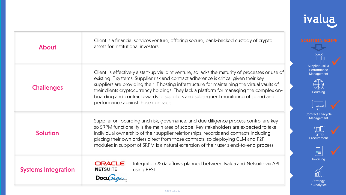| <b>About</b>               | Client is a financial services venture, offering secure, bank-backed custody of crypto<br>assets for institutional investors                                                                                                                                                                                                                                                                                                                                                                                      |                                                                                |
|----------------------------|-------------------------------------------------------------------------------------------------------------------------------------------------------------------------------------------------------------------------------------------------------------------------------------------------------------------------------------------------------------------------------------------------------------------------------------------------------------------------------------------------------------------|--------------------------------------------------------------------------------|
| <b>Challenges</b>          | Client is effectively a start-up via joint venture, so lacks the maturity of processes or use of<br>existing IT systems. Supplier risk and contract adherence is critical given their key<br>suppliers are providing their IT hosting infrastructure for maintaining the virtual vaults of<br>their clients cryptocurrency holdings. They lack a platform for managing the complex on-<br>boarding and contract awards to suppliers and subsequent monitoring of spend and<br>performance against those contracts | <b>Supplier Risk &amp;</b><br>Performance<br>Management<br>Sourcing<br>x Arrag |
| <b>Solution</b>            | Supplier on-boarding and risk, governance, and due diligence process control are key<br>so SRPM functionality is the main area of scope. Key stakeholders are expected to take<br>individual ownership of their supplier relationships, records and contracts including<br>placing their own orders direct from those contracts, so deploying CLM and P2P<br>modules in support of SRPM is a natural extension of their user's end-to-end process                                                                 | <b>Contract Lifecycl</b><br>Management<br>Procurement<br>$\frac{1}{\sqrt{2}}$  |
| <b>Systems Integration</b> | ORACLE<br>Integration & dataflows planned between Ivalua and Netsuite via API<br><b>NETSUITE</b><br>using REST<br>Docusia                                                                                                                                                                                                                                                                                                                                                                                         | Invoicing<br><b>Strategy</b><br>& Analytics                                    |

<sub>cle</sub>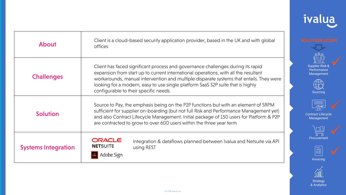| <b>About</b>               | Client is a cloud-based security application provider, based in the UK and with global<br>offices                                                                                                                                                                                                                                                                                             | SOLUTION SCO                                             |
|----------------------------|-----------------------------------------------------------------------------------------------------------------------------------------------------------------------------------------------------------------------------------------------------------------------------------------------------------------------------------------------------------------------------------------------|----------------------------------------------------------|
| <b>Challenges</b>          | Client has faced significant process and governance challenges during its rapid<br>expansion from start up to current international operations, with all the resultant<br>workarounds, manual intervention and multiple disparate systems that entails. They were<br>looking for a modern, easy to use single platform SaaS S2P suite that is highly<br>configurable to their specific needs. | Supplier Risk &<br>Performance<br>Management<br>Sourcing |
| <b>Solution</b>            | Source to Pay, the emphasis being on the P2P functions but with an element of SRPM<br>sufficient for supplier on-boarding (but not full Risk and Performance Management yet)<br>and also Contract Lifecycle Management. Initial package of 150 users for Platform & P2P<br>are contracted to grow to over 600 users within the three year term                                                | x Aroug.<br><b>Contract Lifecycle</b><br>Management      |
| <b>Systems Integration</b> | ORACLE<br>Integration & dataflows planned between Ivalua and Netsuite via API<br><b>NETSUITE</b><br>using REST                                                                                                                                                                                                                                                                                | Procurement<br>Invoicing                                 |

**Strategy** & Analytics

 $\mathbb{Z}$